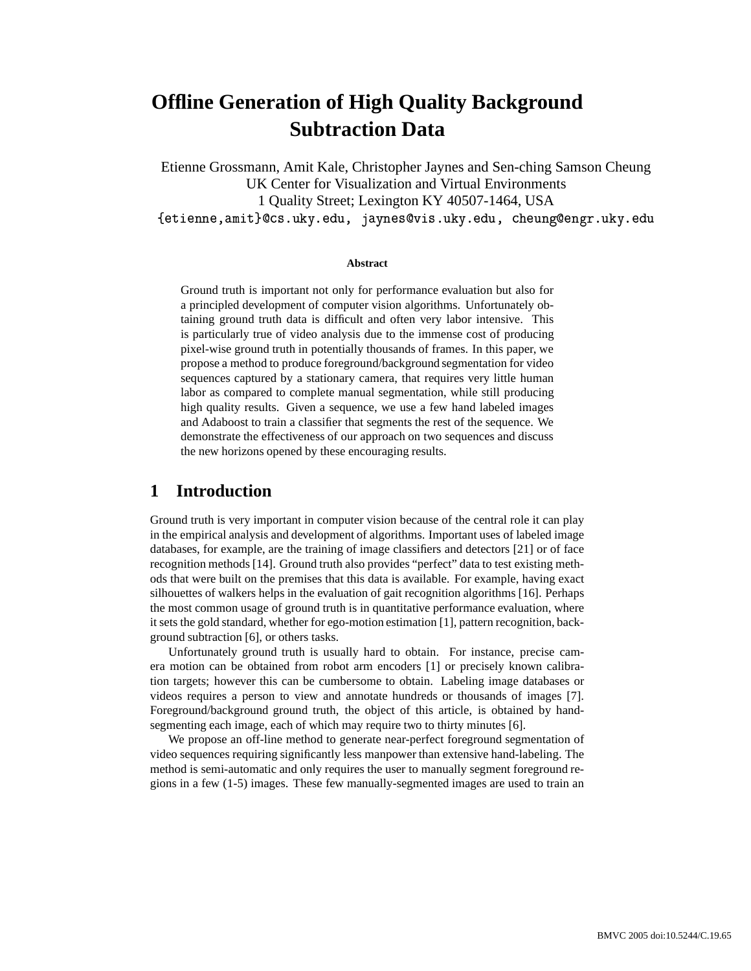# **Offline Generation of High Quality Background Subtraction Data**

Etienne Grossmann, Amit Kale, Christopher Jaynes and Sen-ching Samson Cheung UK Center for Visualization and Virtual Environments 1 Quality Street; Lexington KY 40507-1464, USA and the state of the state of the state of the state of the state of the state of the state of the state of the

#### **Abstract**

Ground truth is important not only for performance evaluation but also for a principled development of computer vision algorithms. Unfortunately obtaining ground truth data is difficult and often very labor intensive. This is particularly true of video analysis due to the immense cost of producing pixel-wise ground truth in potentially thousands of frames. In this paper, we propose a method to produce foreground/background segmentation for video sequences captured by a stationary camera, that requires very little human labor as compared to complete manual segmentation, while still producing high quality results. Given a sequence, we use a few hand labeled images and Adaboost to train a classifier that segments the rest of the sequence. We demonstrate the effectiveness of our approach on two sequences and discuss the new horizons opened by these encouraging results.

# **1 Introduction**

Ground truth is very important in computer vision because of the central role it can play in the empirical analysis and development of algorithms. Important uses of labeled image databases, for example, are the training of image classifiers and detectors [21] or of face recognition methods [14]. Ground truth also provides "perfect" data to test existing methods that were built on the premises that this data is available. For example, having exact silhouettes of walkers helps in the evaluation of gait recognition algorithms [16]. Perhaps the most common usage of ground truth is in quantitative performance evaluation, where it sets the gold standard, whether for ego-motion estimation [1], pattern recognition, background subtraction [6], or others tasks.

Unfortunately ground truth is usually hard to obtain. For instance, precise camera motion can be obtained from robot arm encoders [1] or precisely known calibration targets; however this can be cumbersome to obtain. Labeling image databases or videos requires a person to view and annotate hundreds or thousands of images [7]. Foreground/background ground truth, the object of this article, is obtained by handsegmenting each image, each of which may require two to thirty minutes [6].

We propose an off-line method to generate near-perfect foreground segmentation of video sequences requiring significantly less manpower than extensive hand-labeling. The method is semi-automatic and only requires the user to manually segment foreground regions in a few (1-5) images. These few manually-segmented images are used to train an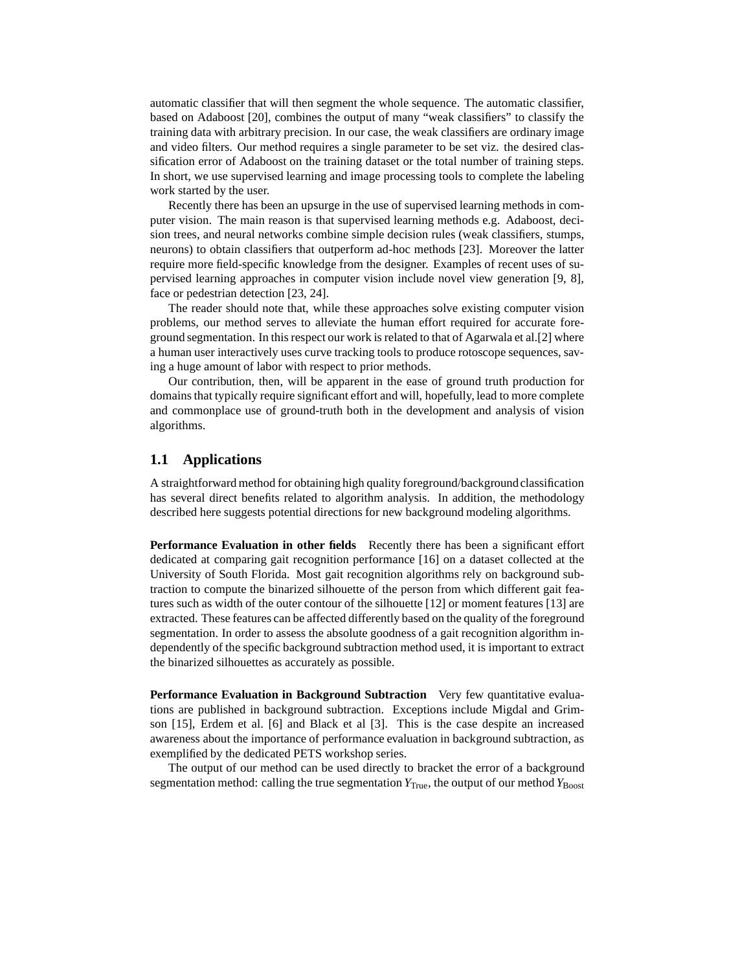automatic classifier that will then segment the whole sequence. The automatic classifier, based on Adaboost [20], combines the output of many "weak classifiers" to classify the training data with arbitrary precision. In our case, the weak classifiers are ordinary image and video filters. Our method requires a single parameter to be set viz. the desired classification error of Adaboost on the training dataset or the total number of training steps. In short, we use supervised learning and image processing tools to complete the labeling work started by the user.

Recently there has been an upsurge in the use of supervised learning methods in computer vision. The main reason is that supervised learning methods e.g. Adaboost, decision trees, and neural networks combine simple decision rules (weak classifiers, stumps, neurons) to obtain classifiers that outperform ad-hoc methods [23]. Moreover the latter require more field-specific knowledge from the designer. Examples of recent uses of supervised learning approaches in computer vision include novel view generation [9, 8], face or pedestrian detection [23, 24].

The reader should note that, while these approaches solve existing computer vision problems, our method serves to alleviate the human effort required for accurate foreground segmentation. In this respect our work is related to that of Agarwala et al.[2] where a human user interactively uses curve tracking tools to produce rotoscope sequences, saving a huge amount of labor with respect to prior methods.

Our contribution, then, will be apparent in the ease of ground truth production for domains that typically require significant effort and will, hopefully, lead to more complete and commonplace use of ground-truth both in the development and analysis of vision algorithms.

### **1.1 Applications**

A straightforward method for obtaining high quality foreground/backgroundclassification has several direct benefits related to algorithm analysis. In addition, the methodology described here suggests potential directions for new background modeling algorithms.

**Performance Evaluation in other fields** Recently there has been a significant effort dedicated at comparing gait recognition performance [16] on a dataset collected at the University of South Florida. Most gait recognition algorithms rely on background subtraction to compute the binarized silhouette of the person from which different gait features such as width of the outer contour of the silhouette [12] or moment features [13] are extracted. These features can be affected differently based on the quality of the foreground segmentation. In order to assess the absolute goodness of a gait recognition algorithm independently of the specific background subtraction method used, it is important to extract the binarized silhouettes as accurately as possible.

**Performance Evaluation in Background Subtraction** Very few quantitative evaluations are published in background subtraction. Exceptions include Migdal and Grimson [15], Erdem et al. [6] and Black et al [3]. This is the case despite an increased awareness about the importance of performance evaluation in background subtraction, as exemplified by the dedicated PETS workshop series.

The output of our method can be used directly to bracket the error of a background segmentation method: calling the true segmentation  $Y_{True}$ , the output of our method  $Y_{Boost}$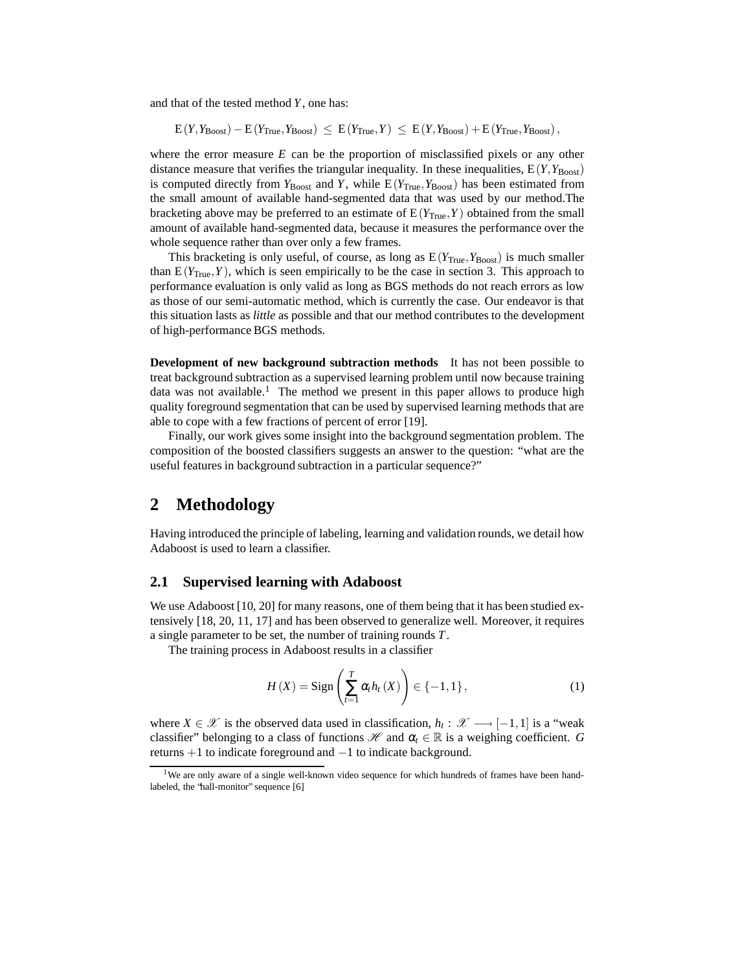and that of the tested method *Y*, one has:

 $E(Y, Y_{\text{Boost}}) - E(Y_{\text{True}}, Y_{\text{Boost}}) \leq E(Y_{\text{True}}, Y) \leq E(Y, Y_{\text{Boost}}) + E(Y_{\text{True}}, Y_{\text{Boost}})$ 

where the error measure *E* can be the proportion of misclassified pixels or any other distance measure that verifies the triangular inequality. In these inequalities,  $E(Y, Y_{\text{Boost}})$ is computed directly from  $Y_{\text{Boost}}$  and *Y*, while  $E(Y_{\text{True}}, Y_{\text{Boost}})$  has been estimated from the small amount of available hand-segmented data that was used by our method.The bracketing above may be preferred to an estimate of  $E(Y_{True}, Y)$  obtained from the small amount of available hand-segmented data, because it measures the performance over the whole sequence rather than over only a few frames.

This bracketing is only useful, of course, as long as  $E(Y_{True}, Y_{Boost})$  is much smaller than  $E(Y_{True}, Y)$ , which is seen empirically to be the case in section 3. This approach to performance evaluation is only valid as long as BGS methods do not reach errors as low as those of our semi-automatic method, which is currently the case. Our endeavor is that this situation lasts as *little* as possible and that our method contributes to the development of high-performance BGS methods.

**Development of new background subtraction methods** It has not been possible to treat background subtraction as a supervised learning problem until now because training data was not available.<sup>1</sup> The method we present in this paper allows to produce high quality foreground segmentation that can be used by supervised learning methods that are able to cope with a few fractions of percent of error [19].

Finally, our work gives some insight into the background segmentation problem. The composition of the boosted classifiers suggests an answer to the question: "what are the useful features in background subtraction in a particular sequence?"

# **2 Methodology**

Having introduced the principle of labeling, learning and validation rounds, we detail how Adaboost is used to learn a classifier.

### **2.1 Supervised learning with Adaboost**

We use Adaboost [10, 20] for many reasons, one of them being that it has been studied extensively [18, 20, 11, 17] and has been observed to generalize well. Moreover, it requires a single parameter to be set, the number of training rounds *T*.

The training process in Adaboost results in a classifier

$$
H(X) = \operatorname{Sign}\left(\sum_{t=1}^{T} \alpha_t h_t(X)\right) \in \{-1, 1\},\tag{1}
$$

where  $X \in \mathcal{X}$  is the observed data used in classification,  $h_t: \mathcal{X} \longrightarrow [-1,1]$  is a "weak classifier" belonging to a class of functions  $\mathcal{H}$  and  $\alpha_t \in \mathbb{R}$  is a weighing coefficient. *G* returns +1 to indicate foreground and −1 to indicate background.

<sup>&</sup>lt;sup>1</sup>We are only aware of a single well-known video sequence for which hundreds of frames have been handlabeled, the 'hall-monitor' sequence [6]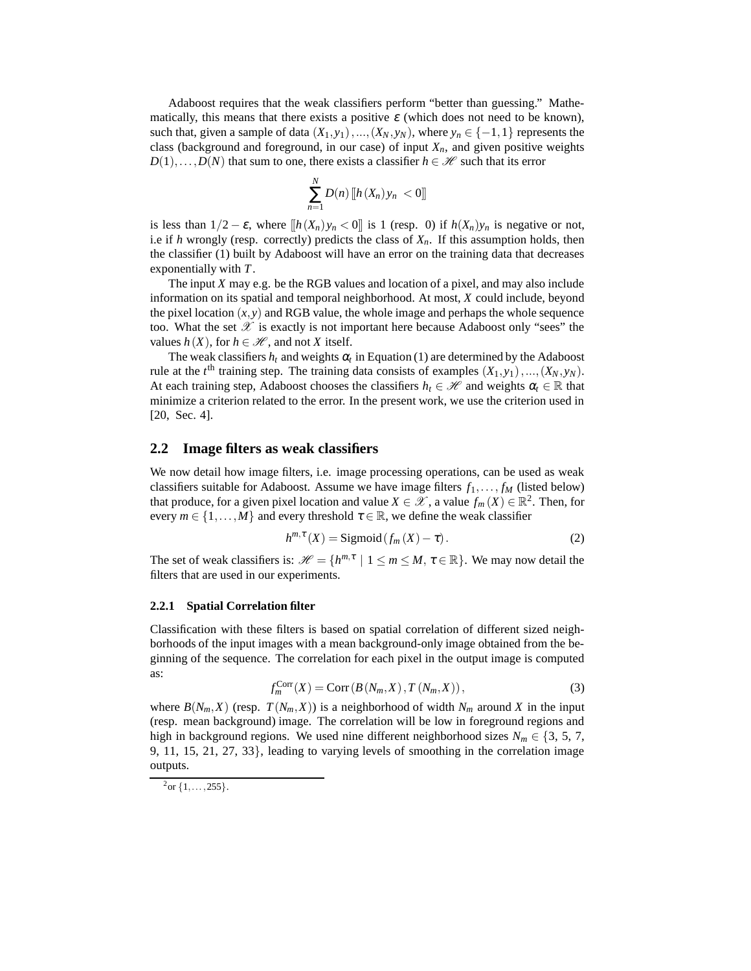Adaboost requires that the weak classifiers perform "better than guessing." Mathematically, this means that there exists a positive  $\varepsilon$  (which does not need to be known), such that, given a sample of data  $(X_1, y_1),..., (X_N, y_N)$ , where  $y_n \in \{-1, 1\}$  represents the class (background and foreground, in our case) of input  $X_n$ , and given positive weights  $D(1),...,D(N)$  that sum to one, there exists a classifier  $h \in \mathcal{H}$  such that its error

$$
\sum_{n=1}^N D(n) \left[ h(X_n) y_n < 0 \right]
$$

is less than  $1/2 - \varepsilon$ , where  $[[h(X_n)y_n < 0]]$  is 1 (resp. 0) if  $h(X_n)y_n$  is negative or not, i.e if *h* wrongly (resp. correctly) predicts the class of  $X_n$ . If this assumption holds, then the classifier (1) built by Adaboost will have an error on the training data that decreases exponentially with *T*.

The input *X* may e.g. be the RGB values and location of a pixel, and may also include information on its spatial and temporal neighborhood. At most, *X* could include, beyond the pixel location  $(x, y)$  and RGB value, the whole image and perhaps the whole sequence too. What the set  $\mathscr X$  is exactly is not important here because Adaboost only "sees" the values  $h(X)$ , for  $h \in \mathcal{H}$ , and not *X* itself.

The weak classifiers  $h_t$  and weights  $\alpha_t$  in Equation (1) are determined by the Adaboost rule at the  $t^{\text{th}}$  training step. The training data consists of examples  $(X_1, y_1), ..., (X_N, y_N)$ . At each training step, Adaboost chooses the classifiers  $h_t \in \mathcal{H}$  and weights  $\alpha_t \in \mathbb{R}$  that minimize a criterion related to the error. In the present work, we use the criterion used in [20, Sec. 4].

### **2.2 Image filters as weak classifiers**

We now detail how image filters, i.e. image processing operations, can be used as weak classifiers suitable for Adaboost. Assume we have image filters  $f_1, \ldots, f_M$  (listed below) that produce, for a given pixel location and value  $X \in \mathcal{X}$ , a value  $f_m(X) \in \mathbb{R}^2$ . Then, for every  $m \in \{1, ..., M\}$  and every threshold  $\tau \in \mathbb{R}$ , we define the weak classifier

$$
h^{m,\tau}(X) = \text{Sigmoid}(f_m(X) - \tau). \tag{2}
$$

The set of weak classifiers is:  $\mathcal{H} = \{h^{m,\tau} \mid 1 \le m \le M, \tau \in \mathbb{R}\}$ . We may now detail the filters that are used in our experiments.

#### **2.2.1 Spatial Correlation filter**

Classification with these filters is based on spatial correlation of different sized neighborhoods of the input images with a mean background-only image obtained from the beginning of the sequence. The correlation for each pixel in the output image is computed as:

$$
f_m^{\text{Corr}}(X) = \text{Corr}\left(B\left(N_m, X\right), T\left(N_m, X\right)\right),\tag{3}
$$

where  $B(N_m, X)$  (resp.  $T(N_m, X)$ ) is a neighborhood of width  $N_m$  around X in the input (resp. mean background) image. The correlation will be low in foreground regions and high in background regions. We used nine different neighborhood sizes  $N_m \in \{3, 5, 7,$ 9, 11, 15, 21, 27, 33}, leading to varying levels of smoothing in the correlation image outputs.

 $^{2}$ or {1, ..., 255}.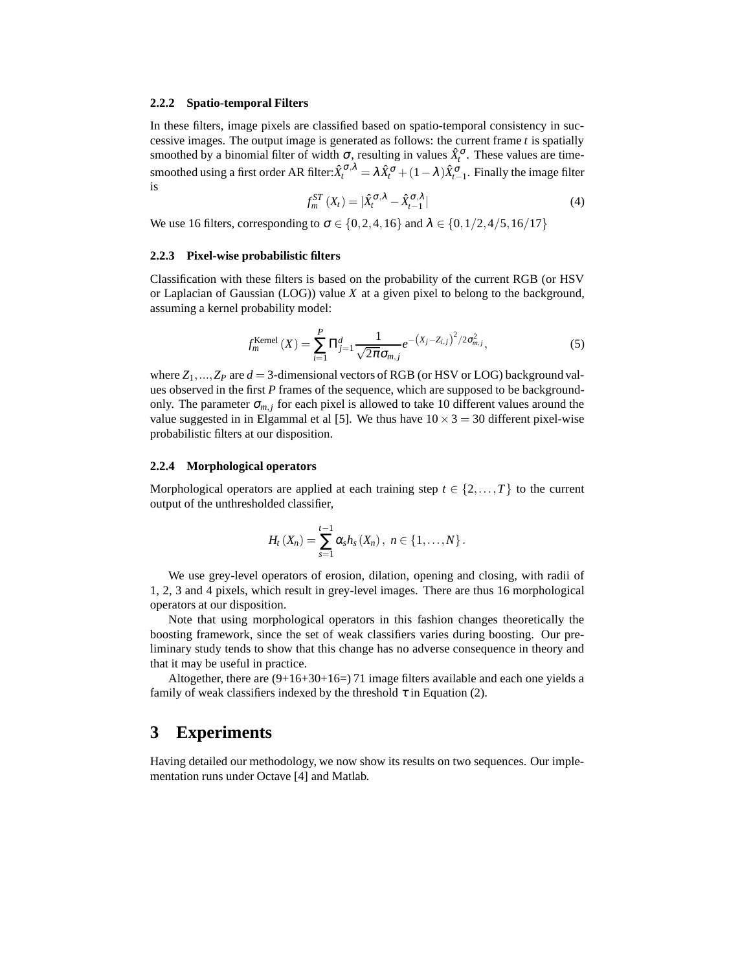#### **2.2.2 Spatio-temporal Filters**

In these filters, image pixels are classified based on spatio-temporal consistency in successive images. The output image is generated as follows: the current frame *t* is spatially smoothed by a binomial filter of width  $\sigma$ , resulting in values  $\hat{X}^{\sigma}_{t}$ . These values are timesmoothed using a first order AR filter: $\hat{X}^{\sigma,\lambda}_t = \lambda \hat{X}^{\sigma}_t + (1-\lambda)\hat{X}^{\sigma}_{t-1}$ . Finally the image filter is

$$
f_m^{ST}(X_t) = |\hat{X}_t^{\sigma,\lambda} - \hat{X}_{t-1}^{\sigma,\lambda}|
$$
\n(4)

We use 16 filters, corresponding to  $\sigma \in \{0, 2, 4, 16\}$  and  $\lambda \in \{0, 1/2, 4/5, 16/17\}$ 

### **2.2.3 Pixel-wise probabilistic filters**

Classification with these filters is based on the probability of the current RGB (or HSV or Laplacian of Gaussian (LOG)) value *X* at a given pixel to belong to the background, assuming a kernel probability model:

$$
f_m^{\text{Kernel}}(X) = \sum_{i=1}^{P} \Pi_{j=1}^{d} \frac{1}{\sqrt{2\pi} \sigma_{m,j}} e^{-\left(X_j - Z_{i,j}\right)^2 / 2\sigma_{m,j}^2},\tag{5}
$$

where  $Z_1, \ldots, Z_P$  are  $d = 3$ -dimensional vectors of RGB (or HSV or LOG) background values observed in the first *P* frames of the sequence, which are supposed to be backgroundonly. The parameter  $\sigma_{m,j}$  for each pixel is allowed to take 10 different values around the value suggested in in Elgammal et al [5]. We thus have  $10 \times 3 = 30$  different pixel-wise probabilistic filters at our disposition.

#### **2.2.4 Morphological operators**

Morphological operators are applied at each training step  $t \in \{2, \ldots, T\}$  to the current output of the unthresholded classifier,

$$
H_{t}(X_{n})=\sum_{s=1}^{t-1}\alpha_{s}h_{s}(X_{n}),\; n\in\{1,\ldots,N\}\,.
$$

We use grey-level operators of erosion, dilation, opening and closing, with radii of 1, 2, 3 and 4 pixels, which result in grey-level images. There are thus 16 morphological operators at our disposition.

Note that using morphological operators in this fashion changes theoretically the boosting framework, since the set of weak classifiers varies during boosting. Our preliminary study tends to show that this change has no adverse consequence in theory and that it may be useful in practice.

Altogether, there are  $(9+16+30+16=)$  71 image filters available and each one yields a family of weak classifiers indexed by the threshold  $\tau$  in Equation (2).

# **3 Experiments**

Having detailed our methodology, we now show its results on two sequences. Our implementation runs under Octave [4] and Matlab.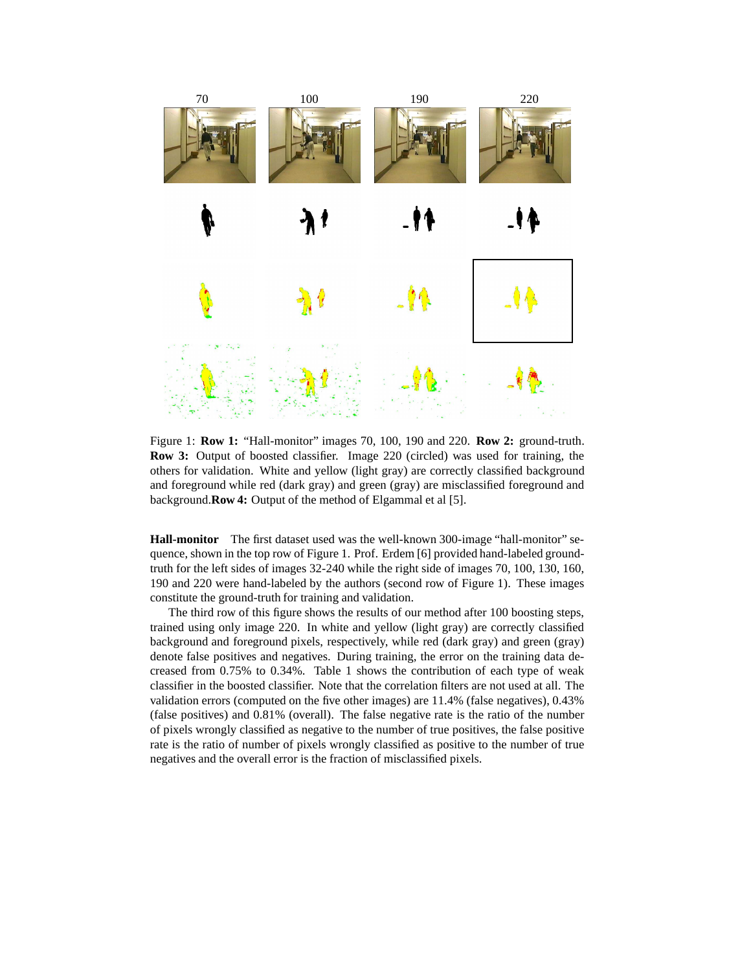

Figure 1: **Row 1:** "Hall-monitor" images 70, 100, 190 and 220. **Row 2:** ground-truth. **Row 3:** Output of boosted classifier. Image 220 (circled) was used for training, the others for validation. White and yellow (light gray) are correctly classified background and foreground while red (dark gray) and green (gray) are misclassified foreground and background.**Row 4:** Output of the method of Elgammal et al [5].

**Hall-monitor** The first dataset used was the well-known 300-image "hall-monitor" sequence, shown in the top row of Figure 1. Prof. Erdem [6] provided hand-labeled groundtruth for the left sides of images 32-240 while the right side of images 70, 100, 130, 160, 190 and 220 were hand-labeled by the authors (second row of Figure 1). These images constitute the ground-truth for training and validation.

The third row of this figure shows the results of our method after 100 boosting steps, trained using only image 220. In white and yellow (light gray) are correctly classified background and foreground pixels, respectively, while red (dark gray) and green (gray) denote false positives and negatives. During training, the error on the training data decreased from 0.75% to 0.34%. Table 1 shows the contribution of each type of weak classifier in the boosted classifier. Note that the correlation filters are not used at all. The validation errors (computed on the five other images) are 11.4% (false negatives), 0.43% (false positives) and 0.81% (overall). The false negative rate is the ratio of the number of pixels wrongly classified as negative to the number of true positives, the false positive rate is the ratio of number of pixels wrongly classified as positive to the number of true negatives and the overall error is the fraction of misclassified pixels.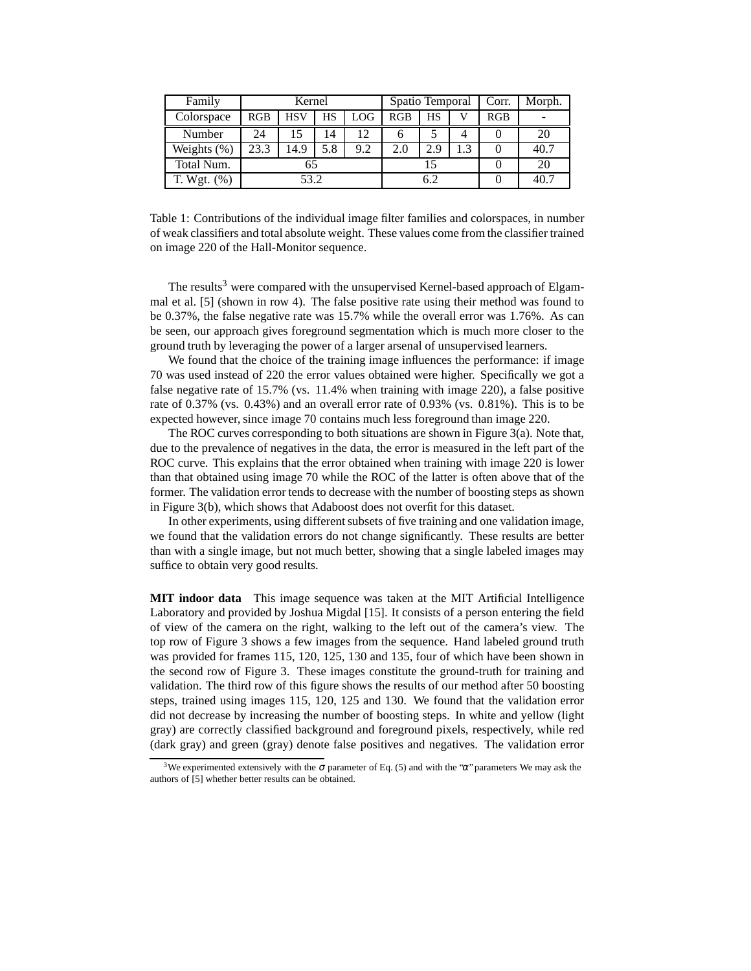| Family         | Kernel |            |     |            | Spatio Temporal |     |    | Corr. | Morph. |
|----------------|--------|------------|-----|------------|-----------------|-----|----|-------|--------|
| Colorspace     | RGB    | <b>HSV</b> | HS  | <b>LOG</b> | RGB             | НS  |    | RGB   |        |
| Number         | 24     |            | 14  | 12         | h               |     |    |       | 20     |
| Weights $(\%)$ | 23.3   | 14.9       | 5.8 | 9.2        | 2.0             | 2.9 | .3 |       | 40.7   |
| Total Num.     |        |            |     |            |                 |     |    |       | 20     |
| T. Wgt. $(%)$  | 53.2   |            |     |            |                 |     |    |       | 40.7   |

Table 1: Contributions of the individual image filter families and colorspaces, in number of weak classifiers and total absolute weight. These values come from the classifier trained on image 220 of the Hall-Monitor sequence.

The results<sup>3</sup> were compared with the unsupervised Kernel-based approach of Elgammal et al. [5] (shown in row 4). The false positive rate using their method was found to be 0.37%, the false negative rate was 15.7% while the overall error was 1.76%. As can be seen, our approach gives foreground segmentation which is much more closer to the ground truth by leveraging the power of a larger arsenal of unsupervised learners.

We found that the choice of the training image influences the performance: if image 70 was used instead of 220 the error values obtained were higher. Specifically we got a false negative rate of 15.7% (vs. 11.4% when training with image 220), a false positive rate of 0.37% (vs. 0.43%) and an overall error rate of 0.93% (vs. 0.81%). This is to be expected however, since image 70 contains much less foreground than image 220.

The ROC curves corresponding to both situations are shown in Figure 3(a). Note that, due to the prevalence of negatives in the data, the error is measured in the left part of the ROC curve. This explains that the error obtained when training with image 220 is lower than that obtained using image 70 while the ROC of the latter is often above that of the former. The validation error tends to decrease with the number of boosting steps as shown in Figure 3(b), which shows that Adaboost does not overfit for this dataset.

In other experiments, using different subsets of five training and one validation image, we found that the validation errors do not change significantly. These results are better than with a single image, but not much better, showing that a single labeled images may suffice to obtain very good results.

**MIT indoor data** This image sequence was taken at the MIT Artificial Intelligence Laboratory and provided by Joshua Migdal [15]. It consists of a person entering the field of view of the camera on the right, walking to the left out of the camera's view. The top row of Figure 3 shows a few images from the sequence. Hand labeled ground truth was provided for frames 115, 120, 125, 130 and 135, four of which have been shown in the second row of Figure 3. These images constitute the ground-truth for training and validation. The third row of this figure shows the results of our method after 50 boosting steps, trained using images 115, 120, 125 and 130. We found that the validation error did not decrease by increasing the number of boosting steps. In white and yellow (light gray) are correctly classified background and foreground pixels, respectively, while red (dark gray) and green (gray) denote false positives and negatives. The validation error

<sup>&</sup>lt;sup>3</sup>We experimented extensively with the  $\sigma$  parameter of Eq. (5) and with the " $\alpha$ " parameters We may ask the authors of [5] whether better results can be obtained.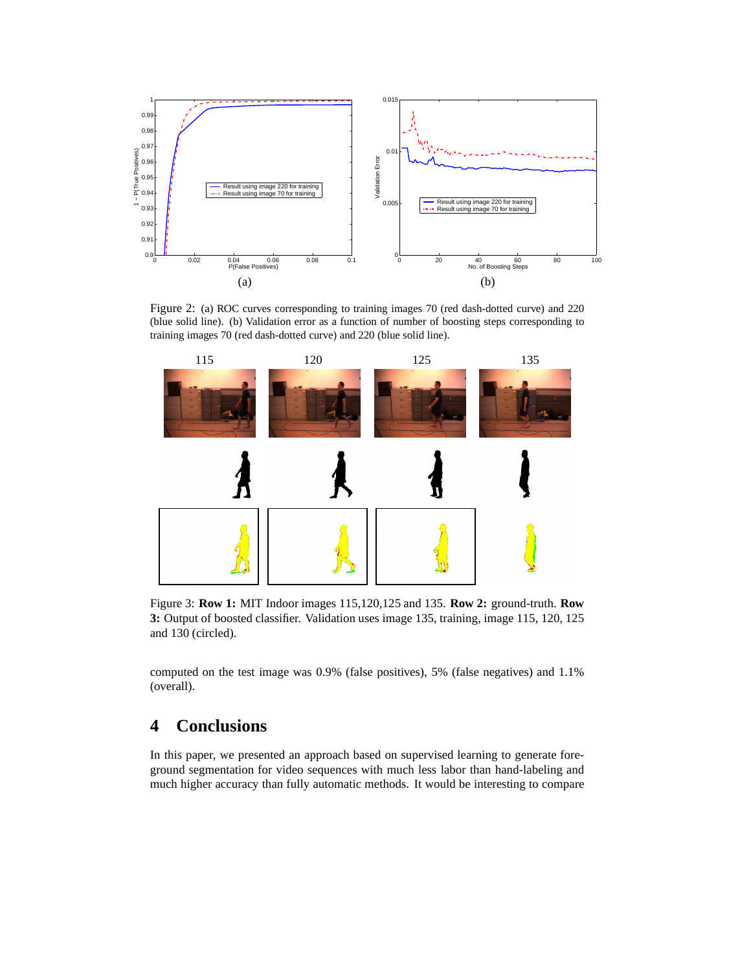

Figure 2: (a) ROC curves corresponding to training images 70 (red dash-dotted curve) and 220 (blue solid line). (b) Validation error as a function of number of boosting steps corresponding to training images 70 (red dash-dotted curve) and 220 (blue solid line).



Figure 3: **Row 1:** MIT Indoor images 115,120,125 and 135. **Row 2:** ground-truth. **Row 3:** Output of boosted classifier. Validation uses image 135, training, image 115, 120, 125 and 130 (circled).

computed on the test image was 0.9% (false positives), 5% (false negatives) and 1.1% (overall).

# **4 Conclusions**

In this paper, we presented an approach based on supervised learning to generate foreground segmentation for video sequences with much less labor than hand-labeling and much higher accuracy than fully automatic methods. It would be interesting to compare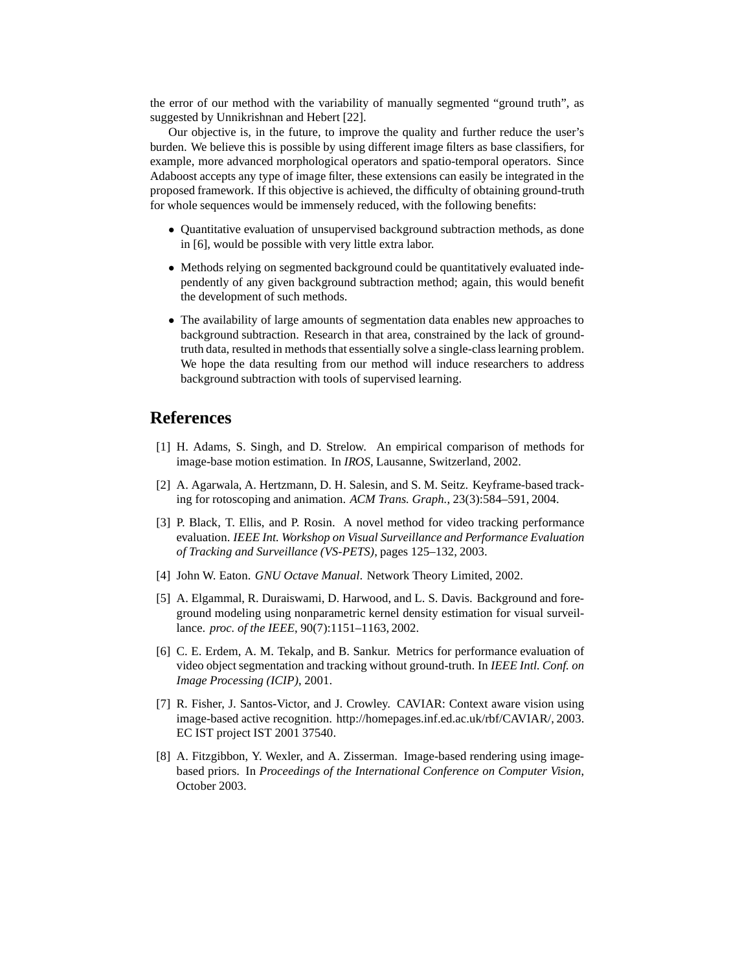the error of our method with the variability of manually segmented "ground truth", as suggested by Unnikrishnan and Hebert [22].

Our objective is, in the future, to improve the quality and further reduce the user's burden. We believe this is possible by using different image filters as base classifiers, for example, more advanced morphological operators and spatio-temporal operators. Since Adaboost accepts any type of image filter, these extensions can easily be integrated in the proposed framework. If this objective is achieved, the difficulty of obtaining ground-truth for whole sequences would be immensely reduced, with the following benefits:

- Quantitative evaluation of unsupervised background subtraction methods, as done in [6], would be possible with very little extra labor.
- Methods relying on segmented background could be quantitatively evaluated independently of any given background subtraction method; again, this would benefit the development of such methods.
- The availability of large amounts of segmentation data enables new approaches to background subtraction. Research in that area, constrained by the lack of groundtruth data, resulted in methods that essentially solve a single-class learning problem. We hope the data resulting from our method will induce researchers to address background subtraction with tools of supervised learning.

### **References**

- [1] H. Adams, S. Singh, and D. Strelow. An empirical comparison of methods for image-base motion estimation. In *IROS*, Lausanne, Switzerland, 2002.
- [2] A. Agarwala, A. Hertzmann, D. H. Salesin, and S. M. Seitz. Keyframe-based tracking for rotoscoping and animation. *ACM Trans. Graph.*, 23(3):584–591, 2004.
- [3] P. Black, T. Ellis, and P. Rosin. A novel method for video tracking performance evaluation. *IEEE Int. Workshop on Visual Surveillance and Performance Evaluation of Tracking and Surveillance (VS-PETS)*, pages 125–132, 2003.
- [4] John W. Eaton. *GNU Octave Manual*. Network Theory Limited, 2002.
- [5] A. Elgammal, R. Duraiswami, D. Harwood, and L. S. Davis. Background and foreground modeling using nonparametric kernel density estimation for visual surveillance. *proc. of the IEEE*, 90(7):1151–1163, 2002.
- [6] C. E. Erdem, A. M. Tekalp, and B. Sankur. Metrics for performance evaluation of video object segmentation and tracking without ground-truth. In *IEEE Intl. Conf. on Image Processing (ICIP)*, 2001.
- [7] R. Fisher, J. Santos-Victor, and J. Crowley. CAVIAR: Context aware vision using image-based active recognition. http://homepages.inf.ed.ac.uk/rbf/CAVIAR/, 2003. EC IST project IST 2001 37540.
- [8] A. Fitzgibbon, Y. Wexler, and A. Zisserman. Image-based rendering using imagebased priors. In *Proceedings of the International Conference on Computer Vision*, October 2003.